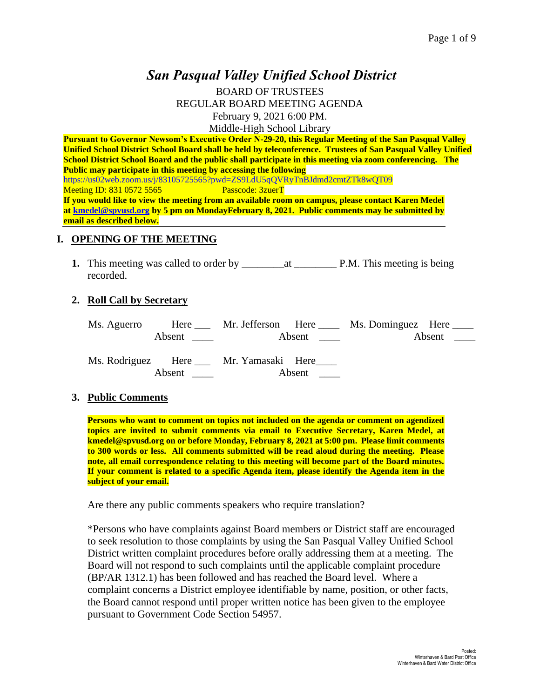# *San Pasqual Valley Unified School District*

BOARD OF TRUSTEES REGULAR BOARD MEETING AGENDA February 9, 2021 6:00 PM. Middle-High School Library

**Pursuant to Governor Newsom's Executive Order N-29-20, this Regular Meeting of the San Pasqual Valley Unified School District School Board shall be held by teleconference. Trustees of San Pasqual Valley Unified School District School Board and the public shall participate in this meeting via zoom conferencing. The Public may participate in this meeting by accessing the following**  <https://us02web.zoom.us/j/83105725565?pwd=ZS9LdU5qQVRyTnBJdmd2cmtZTk8wQT09><br>Meeting ID: 831 0572 5565<br>Passcode: 3zuerT Meeting ID: 831 0572 5565 **If you would like to view the meeting from an available room on campus, please contact Karen Medel at [kmedel@spvusd.org](mailto:kmedel@spvusd.org) by 5 pm on MondayFebruary 8, 2021. Public comments may be submitted by email as described below.** 

### **I. OPENING OF THE MEETING**

**1.** This meeting was called to order by \_\_\_\_\_\_\_\_at \_\_\_\_\_\_\_\_ P.M. This meeting is being recorded.

#### **2. Roll Call by Secretary**

| Ms. Aguerro |                        |                                              |        | Here Mr. Jefferson Here Ms. Dominguez Here |  |
|-------------|------------------------|----------------------------------------------|--------|--------------------------------------------|--|
|             | Absent $\qquad \qquad$ | Absent $\qquad \qquad$                       |        | Absent $\qquad \qquad$                     |  |
|             |                        | Ms. Rodriguez Here ___ Mr. Yamasaki Here____ |        |                                            |  |
|             | Absent                 |                                              | Absent |                                            |  |

### **3. Public Comments**

**Persons who want to comment on topics not included on the agenda or comment on agendized topics are invited to submit comments via email to Executive Secretary, Karen Medel, at kmedel@spvusd.org on or before Monday, February 8, 2021 at 5:00 pm. Please limit comments to 300 words or less. All comments submitted will be read aloud during the meeting. Please note, all email correspondence relating to this meeting will become part of the Board minutes. If your comment is related to a specific Agenda item, please identify the Agenda item in the subject of your email.**

Are there any public comments speakers who require translation?

\*Persons who have complaints against Board members or District staff are encouraged to seek resolution to those complaints by using the San Pasqual Valley Unified School District written complaint procedures before orally addressing them at a meeting. The Board will not respond to such complaints until the applicable complaint procedure (BP/AR 1312.1) has been followed and has reached the Board level. Where a complaint concerns a District employee identifiable by name, position, or other facts, the Board cannot respond until proper written notice has been given to the employee pursuant to Government Code Section 54957.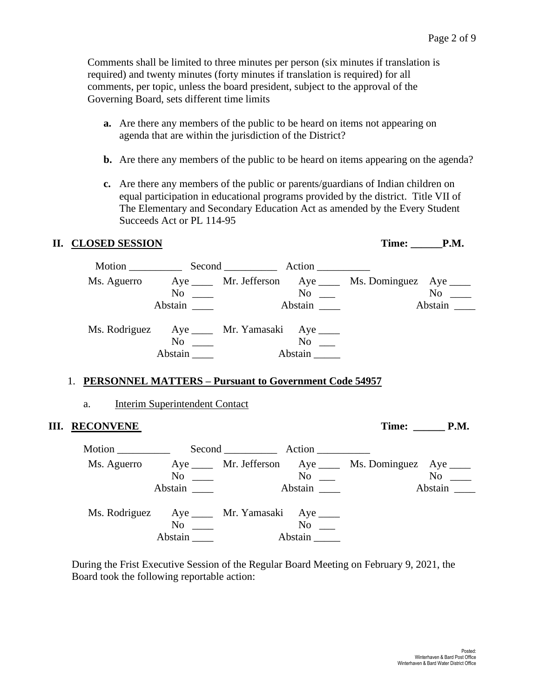Comments shall be limited to three minutes per person (six minutes if translation is required) and twenty minutes (forty minutes if translation is required) for all comments, per topic, unless the board president, subject to the approval of the Governing Board, sets different time limits

- **a.** Are there any members of the public to be heard on items not appearing on agenda that are within the jurisdiction of the District?
- **b.** Are there any members of the public to be heard on items appearing on the agenda?
- **c.** Are there any members of the public or parents/guardians of Indian children on equal participation in educational programs provided by the district. Title VII of The Elementary and Secondary Education Act as amended by the Every Student Succeeds Act or PL 114-95

## **II. CLOSED SESSION Time: P.M.**

|             |                           | Motion Second Action                         |                                 |                                                            |                    |
|-------------|---------------------------|----------------------------------------------|---------------------------------|------------------------------------------------------------|--------------------|
| Ms. Aguerro | No<br>Abstain             |                                              | $\mathrm{No}$ $\_\_$<br>Abstain | Aye ______ Mr. Jefferson Aye _____ Ms. Dominguez Aye _____ | $No \_$<br>Abstain |
|             | N <sub>0</sub><br>Abstain | Ms. Rodriguez Aye ____ Mr. Yamasaki Aye ____ | N <sub>0</sub><br>Abstain       |                                                            |                    |

## 1. **PERSONNEL MATTERS – Pursuant to Government Code 54957**

## a. Interim Superintendent Contact

## **III. RECONVENE** Time: P.M.

Motion \_\_\_\_\_\_\_\_\_\_\_\_\_\_ Second \_\_\_\_\_\_\_\_\_\_\_ Action \_\_\_\_\_\_\_\_\_\_ Ms. Aguerro Aye Mr. Jefferson Aye Ms. Dominguez Aye Manuel Aye Ms. Dominguez Aye Mo No \_\_\_ No \_\_ No \_\_ No \_\_ Abstain \_\_\_\_ Abstain \_\_\_ Abstain \_\_\_ Abstain \_\_\_ Ms. Rodriguez Aye \_\_\_\_ Mr. Yamasaki Aye \_\_\_\_<br>No \_\_\_\_ Mo \_\_\_\_ No  $\_\_$ Abstain \_\_\_\_ Abstain \_\_\_\_

During the Frist Executive Session of the Regular Board Meeting on February 9, 2021, the Board took the following reportable action: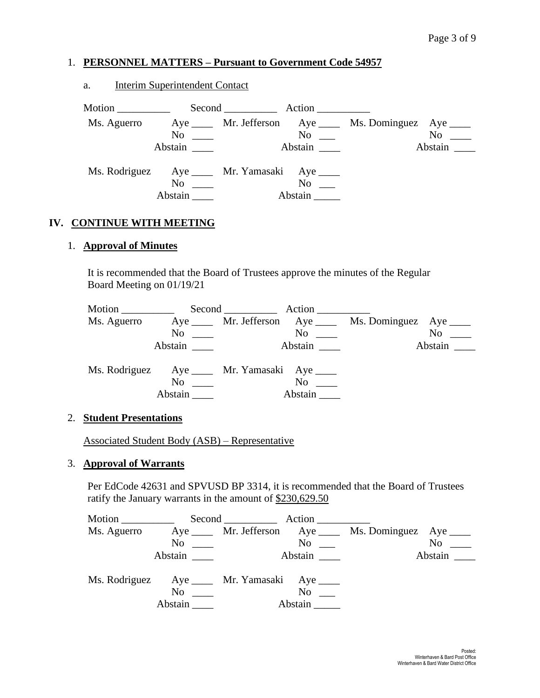## 1. **PERSONNEL MATTERS – Pursuant to Government Code 54957**

## a. Interim Superintendent Contact

| Motion $\_\_$                                 |           | Second Action                                   |                      |                                                            |                                          |
|-----------------------------------------------|-----------|-------------------------------------------------|----------------------|------------------------------------------------------------|------------------------------------------|
| Ms. Aguerro                                   |           |                                                 |                      | Aye ______ Mr. Jefferson Aye _____ Ms. Dominguez Aye _____ |                                          |
|                                               |           | $\overline{\text{No}}$ $\overline{\phantom{0}}$ | $\mathrm{No}$ $\_\_$ |                                                            | $No \ \_$                                |
|                                               | Abstain   |                                                 | Abstain              |                                                            | Abstain $\frac{1}{\sqrt{1-\frac{1}{2}}}$ |
| Ms. Rodriguez Aye _____ Mr. Yamasaki Aye ____ |           |                                                 |                      |                                                            |                                          |
|                                               | $No \ \_$ |                                                 | $No \t —$            |                                                            |                                          |
|                                               | Abstain   |                                                 | Abstain              |                                                            |                                          |

### **IV. CONTINUE WITH MEETING**

### 1. **Approval of Minutes**

It is recommended that the Board of Trustees approve the minutes of the Regular Board Meeting on 01/19/21

| Motion $\frac{1}{\sqrt{1-\frac{1}{2}}\cdot\frac{1}{\sqrt{1-\frac{1}{2}}}}$ |                         | Second Action                     |          |                                                            |
|----------------------------------------------------------------------------|-------------------------|-----------------------------------|----------|------------------------------------------------------------|
| Ms. Aguerro                                                                |                         |                                   |          | Aye ______ Mr. Jefferson Aye _____ Ms. Dominguez Aye _____ |
|                                                                            | $\mathrm{No} \ \_\_\_\$ |                                   | $\rm No$ | $No \ \_$                                                  |
|                                                                            | Abstain                 |                                   | Abstain  | Abstain                                                    |
| Ms. Rodriguez                                                              | N <sub>0</sub>          | Aye ______ Mr. Yamasaki Aye _____ | $\rm No$ |                                                            |
|                                                                            | Abstain                 |                                   | Abstain  |                                                            |

#### 2. **Student Presentations**

Associated Student Body (ASB) – Representative

#### 3. **Approval of Warrants**

Per EdCode 42631 and SPVUSD BP 3314, it is recommended that the Board of Trustees ratify the January warrants in the amount of \$230,629.50

|                                              |                           | Second Action          |                    |                                                            |
|----------------------------------------------|---------------------------|------------------------|--------------------|------------------------------------------------------------|
| Ms. Aguerro                                  |                           |                        |                    | Aye ______ Mr. Jefferson Aye _____ Ms. Dominguez Aye _____ |
|                                              |                           | $\overline{\text{No}}$ | No                 | $No \ \_$                                                  |
|                                              | Abstain                   |                        | Abstain            | Abstain $\qquad$                                           |
| Ms. Rodriguez Aye ____ Mr. Yamasaki Aye ____ | N <sub>0</sub><br>Abstain |                        | $No \_$<br>Abstain |                                                            |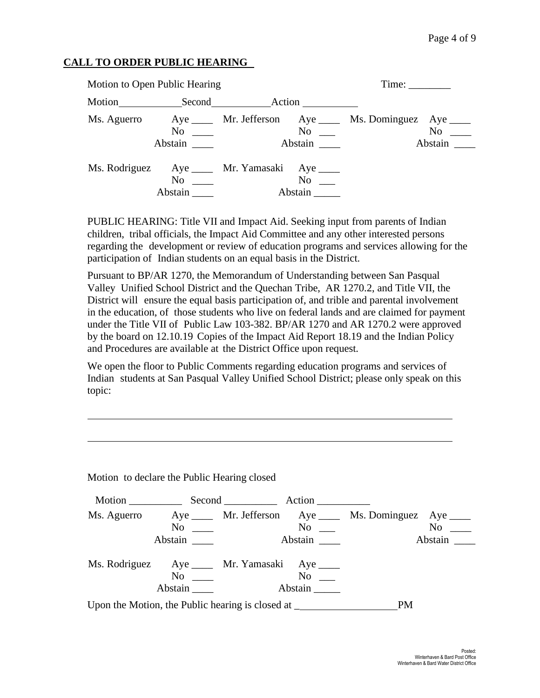## **CALL TO ORDER PUBLIC HEARING**

| Motion to Open Public Hearing |                      | Time:                                                         |                                                                                              |
|-------------------------------|----------------------|---------------------------------------------------------------|----------------------------------------------------------------------------------------------|
|                               |                      | Motion Second Action                                          |                                                                                              |
|                               | $No \ \_$<br>Abstain | No<br>Abstain                                                 | Ms. Aguerro Aye _____ Mr. Jefferson Aye _____ Ms. Dominguez Aye ____<br>$No \ \_$<br>Abstain |
|                               | No<br>Abstain        | Ms. Rodriguez Aye ____ Mr. Yamasaki Aye ____<br>No<br>Abstain |                                                                                              |

PUBLIC HEARING: Title VII and Impact Aid. Seeking input from parents of Indian children, tribal officials, the Impact Aid Committee and any other interested persons regarding the development or review of education programs and services allowing for the participation of Indian students on an equal basis in the District.

Pursuant to BP/AR 1270, the Memorandum of Understanding between San Pasqual Valley Unified School District and the Quechan Tribe, AR 1270.2, and Title VII, the District will ensure the equal basis participation of, and trible and parental involvement in the education, of those students who live on federal lands and are claimed for payment under the Title VII of Public Law 103-382. BP/AR 1270 and AR 1270.2 were approved by the board on 12.10.19 Copies of the Impact Aid Report 18.19 and the Indian Policy and Procedures are available at the District Office upon request.

We open the floor to Public Comments regarding education programs and services of Indian students at San Pasqual Valley Unified School District; please only speak on this topic:

Motion to declare the Public Hearing closed

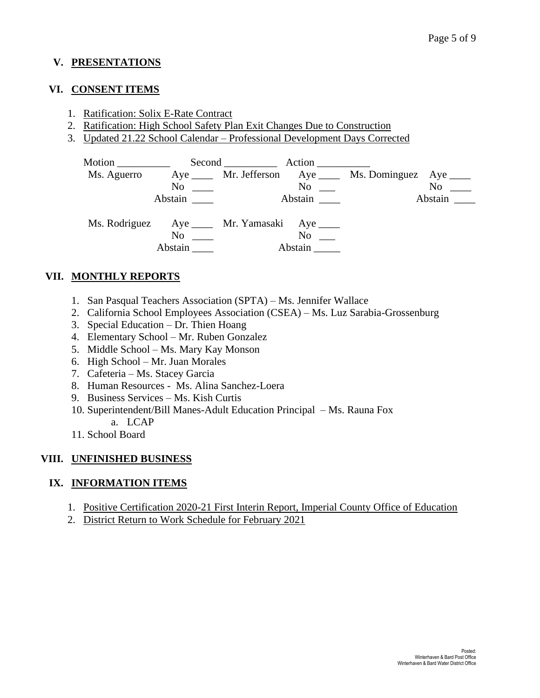## **V. PRESENTATIONS**

### **VI. CONSENT ITEMS**

- 1. Ratification: Solix E-Rate Contract
- 2. Ratification: High School Safety Plan Exit Changes Due to Construction
- 3. Updated 21.22 School Calendar Professional Development Days Corrected

| Motion      |               | Second Action                                |                  |                                                           |                                  |
|-------------|---------------|----------------------------------------------|------------------|-----------------------------------------------------------|----------------------------------|
| Ms. Aguerro |               |                                              |                  | Aye ______ Mr. Jefferson Aye _____ Ms. Dominguez Aye ____ |                                  |
|             | No            |                                              | No               |                                                           | No                               |
|             | Abstain       |                                              | Abstain          |                                                           | Abstain $\overline{\phantom{a}}$ |
|             | No<br>Abstain | Ms. Rodriguez Aye ____ Mr. Yamasaki Aye ____ | No no<br>Abstain |                                                           |                                  |

## **VII. MONTHLY REPORTS**

- 1. San Pasqual Teachers Association (SPTA) Ms. Jennifer Wallace
- 2. California School Employees Association (CSEA) Ms. Luz Sarabia-Grossenburg
- 3. Special Education Dr. Thien Hoang
- 4. Elementary School Mr. Ruben Gonzalez
- 5. Middle School Ms. Mary Kay Monson
- 6. High School Mr. Juan Morales
- 7. Cafeteria Ms. Stacey Garcia
- 8. Human Resources Ms. Alina Sanchez-Loera
- 9. Business Services Ms. Kish Curtis
- 10. Superintendent/Bill Manes-Adult Education Principal Ms. Rauna Fox a. LCAP
- 11. School Board

## **VIII. UNFINISHED BUSINESS**

## **IX. INFORMATION ITEMS**

- 1. Positive Certification 2020-21 First Interin Report, Imperial County Office of Education
- 2. District Return to Work Schedule for February 2021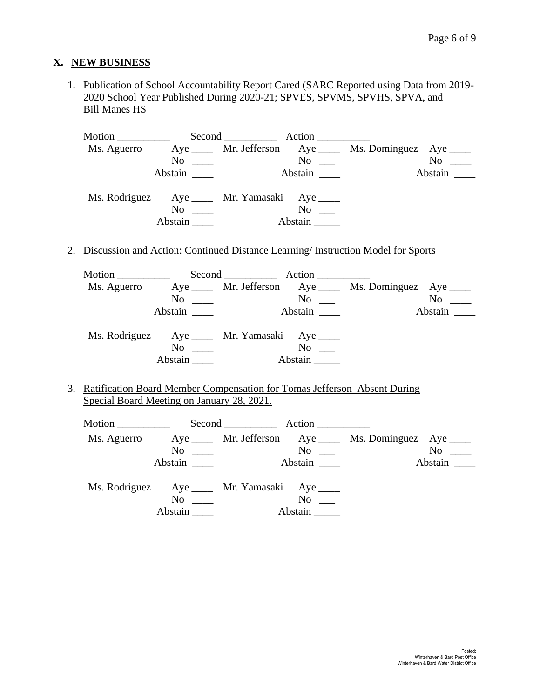## **X. NEW BUSINESS**

1. Publication of School Accountability Report Cared (SARC Reported using Data from 2019- 2020 School Year Published During 2020-21; SPVES, SPVMS, SPVHS, SPVA, and Bill Manes HS

| Motion                                       |                      | Second Action          |                      |                                                         |         |
|----------------------------------------------|----------------------|------------------------|----------------------|---------------------------------------------------------|---------|
| Ms. Aguerro                                  |                      |                        |                      | Aye _____ Mr. Jefferson Aye ____ Ms. Dominguez Aye ____ |         |
|                                              |                      | $\overline{\text{No}}$ | No                   |                                                         | No      |
|                                              | Abstain              |                        |                      |                                                         | Abstain |
| Ms. Rodriguez Aye ____ Mr. Yamasaki Aye ____ | $No \ \_$<br>Abstain |                        | $No \t —$<br>Abstain |                                                         |         |

2. Discussion and Action: Continued Distance Learning/ Instruction Model for Sports

| Motion $\frac{\ }{\ }$                        |         | Second Action                               |                    |                                                            |           |
|-----------------------------------------------|---------|---------------------------------------------|--------------------|------------------------------------------------------------|-----------|
| Ms. Aguerro                                   |         |                                             |                    | Aye ______ Mr. Jefferson Aye _____ Ms. Dominguez Aye _____ |           |
|                                               |         | $\overline{N}$ o $\overline{\phantom{nnn}}$ | $No \t —$          |                                                            | $No \ \_$ |
|                                               | Abstain |                                             | Abstain            |                                                            | Abstain   |
| Ms. Rodriguez Aye _____ Mr. Yamasaki Aye ____ |         |                                             |                    |                                                            |           |
|                                               |         | $\overline{\text{No}}$                      | $\overline{N_{0}}$ |                                                            |           |
|                                               | Abstain |                                             | Abstain            |                                                            |           |

3. Ratification Board Member Compensation for Tomas Jefferson Absent During Special Board Meeting on January 28, 2021.

| Motion $\frac{1}{\sqrt{1-\frac{1}{2}}\cdot\frac{1}{\sqrt{1-\frac{1}{2}}}}$ |                                             | Second Action                            |           |                                                            |           |
|----------------------------------------------------------------------------|---------------------------------------------|------------------------------------------|-----------|------------------------------------------------------------|-----------|
| Ms. Aguerro                                                                |                                             |                                          |           | Aye ______ Mr. Jefferson Aye _____ Ms. Dominguez Aye _____ |           |
|                                                                            |                                             | $\overline{N}$ $\overline{\phantom{nn}}$ | $No \t —$ |                                                            | $No \_\_$ |
|                                                                            | Abstain                                     |                                          |           |                                                            | Abstain   |
| Ms. Rodriguez Aye ____ Mr. Yamasaki Aye ____                               |                                             |                                          |           |                                                            |           |
|                                                                            | $\overline{N}$ o $\overline{\phantom{nnn}}$ |                                          | $No \t —$ |                                                            |           |
|                                                                            | Abstain                                     |                                          | Abstain   |                                                            |           |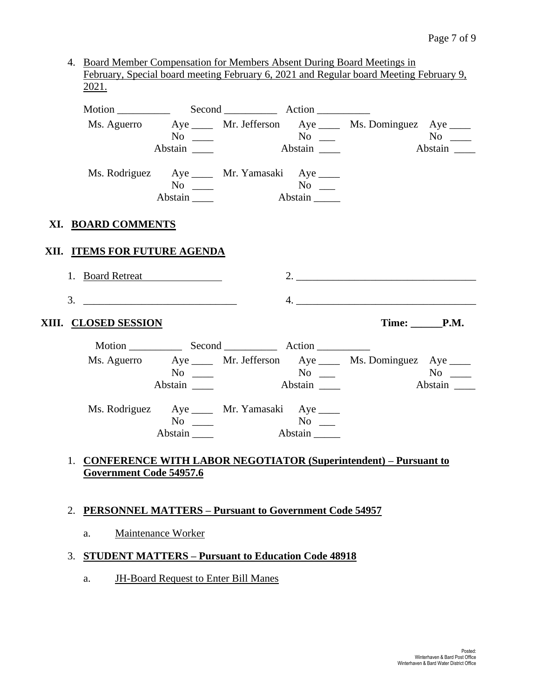4. Board Member Compensation for Members Absent During Board Meetings in February, Special board meeting February 6, 2021 and Regular board Meeting February 9, 2021.

|                                                                    | Abstain _______      |                                                                       |                                                            | Ms. Aguerro Aye ____ Mr. Jefferson Aye ____ Ms. Dominguez Aye ____ | $No \ \_$<br>Abstain |
|--------------------------------------------------------------------|----------------------|-----------------------------------------------------------------------|------------------------------------------------------------|--------------------------------------------------------------------|----------------------|
|                                                                    | $No \ \_$<br>Abstain | Ms. Rodriguez Aye ____ Mr. Yamasaki Aye ____                          | $\overline{\text{No}}$ $\overline{\phantom{0}}$<br>Abstain |                                                                    |                      |
| XI. BOARD COMMENTS                                                 |                      |                                                                       |                                                            |                                                                    |                      |
| XII. ITEMS FOR FUTURE AGENDA                                       |                      |                                                                       |                                                            |                                                                    |                      |
| 1. Board Retreat                                                   |                      |                                                                       |                                                            |                                                                    |                      |
| 3.                                                                 |                      |                                                                       |                                                            | 4.                                                                 |                      |
| XIII. CLOSED SESSION                                               |                      |                                                                       |                                                            |                                                                    | $Time: \_\_\_P.M.$   |
|                                                                    |                      |                                                                       |                                                            |                                                                    |                      |
|                                                                    | Abstain              | $\mathrm{No}$ $\mathrm{No}$ $\mathrm{No}$ $\mathrm{No}$ $\mathrm{No}$ | Abstain                                                    | Ms. Aguerro Aye ____ Mr. Jefferson Aye ____ Ms. Dominguez Aye ____ |                      |
|                                                                    | $No \ \_$<br>Abstain | Ms. Rodriguez Aye _____ Mr. Yamasaki Aye ____                         | Abstain                                                    |                                                                    |                      |
| 1. CONFERENCE WITH LABOR NEGOTIATOR (Superintendent) – Pursuant to |                      |                                                                       |                                                            |                                                                    |                      |

## 2. **PERSONNEL MATTERS – Pursuant to Government Code 54957**

a. Maintenance Worker

## 3. **STUDENT MATTERS – Pursuant to Education Code 48918**

a. JH-Board Request to Enter Bill Manes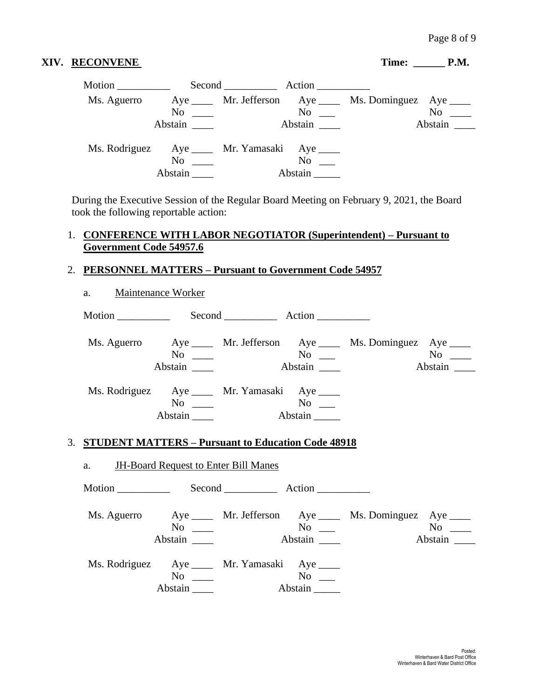### **XIV. RECONVENE** Time: \_\_\_\_\_\_ **P.M.**

| Motion      |                                        | Second Action                                |                      |                                                            |                  |
|-------------|----------------------------------------|----------------------------------------------|----------------------|------------------------------------------------------------|------------------|
| Ms. Aguerro |                                        |                                              |                      | Aye ______ Mr. Jefferson Aye _____ Ms. Dominguez Aye _____ |                  |
|             | $\mathrm{No} \quad \underline{\qquad}$ |                                              | $\mathrm{No}$ $\_\_$ |                                                            | $No \ \_$        |
|             | Abstain                                |                                              | Abstain              |                                                            | Abstain ________ |
|             | $\rm No$                               | Ms. Rodriguez Aye ____ Mr. Yamasaki Aye ____ | No                   |                                                            |                  |
|             | Abstain                                |                                              | Abstain              |                                                            |                  |

During the Executive Session of the Regular Board Meeting on February 9, 2021, the Board took the following reportable action:

## 1. **CONFERENCE WITH LABOR NEGOTIATOR (Superintendent) – Pursuant to Government Code 54957.6**

## 2. **PERSONNEL MATTERS – Pursuant to Government Code 54957**

| a.                                                                                                      | <b>Maintenance Worker</b>                                                        |  |         |                                                                    |         |
|---------------------------------------------------------------------------------------------------------|----------------------------------------------------------------------------------|--|---------|--------------------------------------------------------------------|---------|
|                                                                                                         |                                                                                  |  |         |                                                                    |         |
|                                                                                                         | $\overline{N_0}$ $\overline{\phantom{0}}$<br>Abstain                             |  | Abstain | Ms. Aguerro Aye ____ Mr. Jefferson Aye ____ Ms. Dominguez Aye ____ | Abstain |
|                                                                                                         | Ms. Rodriguez Aye _____ Mr. Yamasaki Aye ____<br>$No \ \_$<br>Abstain _______    |  | Abstain |                                                                    |         |
| 3. STUDENT MATTERS - Pursuant to Education Code 48918<br>a. <b>JH-Board Request to Enter Bill Manes</b> |                                                                                  |  |         |                                                                    |         |
|                                                                                                         |                                                                                  |  |         |                                                                    |         |
|                                                                                                         | $No \ \_$<br>Abstain _______                                                     |  |         | Ms. Aguerro Aye ____ Mr. Jefferson Aye ____ Ms. Dominguez Aye ____ |         |
|                                                                                                         | Ms. Rodriguez Aye ____ Mr. Yamasaki Aye ____<br>$No \_\_$<br>Abstain $\_\_\_\_\$ |  | Abstain |                                                                    |         |